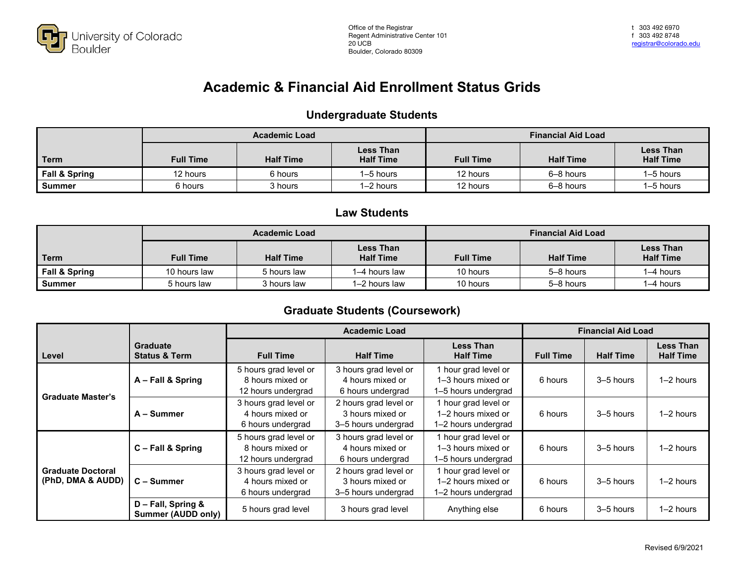

## **Academic & Financial Aid Enrollment Status Grids**

#### **Undergraduate Students**

|               | <b>Academic Load</b>                 |         |                                      | <b>Financial Aid Load</b> |                  |                                      |  |
|---------------|--------------------------------------|---------|--------------------------------------|---------------------------|------------------|--------------------------------------|--|
| Term          | <b>Half Time</b><br><b>Full Time</b> |         | <b>Less Than</b><br><b>Half Time</b> | <b>Full Time</b>          | <b>Half Time</b> | <b>Less Than</b><br><b>Half Time</b> |  |
| Fall & Spring | 12 hours                             | 6 hours | I-5 hours                            | 12 hours                  | 6-8 hours        | l–5 hours                            |  |
| <b>Summer</b> | 6 hours                              | 3 hours | 1–2 hours                            | 12 hours                  | 6-8 hours        | l–5 hours                            |  |

#### **Law Students**

|                          |                                      | <b>Academic Load</b> |                                      |                  | <b>Financial Aid Load</b> |                                      |
|--------------------------|--------------------------------------|----------------------|--------------------------------------|------------------|---------------------------|--------------------------------------|
| Term                     | <b>Half Time</b><br><b>Full Time</b> |                      | <b>Less Than</b><br><b>Half Time</b> | <b>Full Time</b> | <b>Half Time</b>          | <b>Less Than</b><br><b>Half Time</b> |
| <b>Fall &amp; Spring</b> | 10 hours law                         | 5 hours law          | 1–4 hours law                        | 10 hours         | 5-8 hours                 | $1-4$ hours                          |
| Summer                   | 5 hours law                          | 3 hours law          | 1-2 hours law                        | 10 hours         | 5-8 hours                 | $1-4$ hours                          |

#### **Graduate Students (Coursework)**

|                                               |                                                 | <b>Academic Load</b>                                            |                                                                  |                                                                   | <b>Financial Aid Load</b> |                  |                                      |
|-----------------------------------------------|-------------------------------------------------|-----------------------------------------------------------------|------------------------------------------------------------------|-------------------------------------------------------------------|---------------------------|------------------|--------------------------------------|
| Level                                         | <b>Graduate</b><br><b>Status &amp; Term</b>     | <b>Full Time</b>                                                | <b>Half Time</b>                                                 | <b>Less Than</b><br><b>Half Time</b>                              | <b>Full Time</b>          | <b>Half Time</b> | <b>Less Than</b><br><b>Half Time</b> |
| <b>Graduate Master's</b>                      | A - Fall & Spring                               | 5 hours grad level or<br>8 hours mixed or<br>12 hours undergrad | 3 hours grad level or<br>4 hours mixed or<br>6 hours undergrad   | 1 hour grad level or<br>1–3 hours mixed or<br>1-5 hours undergrad | 6 hours                   | 3-5 hours        | $1-2$ hours                          |
|                                               | A - Summer                                      | 3 hours grad level or<br>4 hours mixed or<br>6 hours undergrad  | 2 hours grad level or<br>3 hours mixed or<br>3-5 hours undergrad | 1 hour grad level or<br>1–2 hours mixed or<br>1-2 hours undergrad | 6 hours                   | 3-5 hours        | $1-2$ hours                          |
| <b>Graduate Doctoral</b><br>(PhD, DMA & AUDD) | C - Fall & Spring                               | 5 hours grad level or<br>8 hours mixed or<br>12 hours undergrad | 3 hours grad level or<br>4 hours mixed or<br>6 hours undergrad   | 1 hour grad level or<br>1-3 hours mixed or<br>1-5 hours undergrad | 6 hours                   | 3-5 hours        | $1-2$ hours                          |
|                                               | C - Summer                                      | 3 hours grad level or<br>4 hours mixed or<br>6 hours undergrad  | 2 hours grad level or<br>3 hours mixed or<br>3-5 hours undergrad | 1 hour grad level or<br>1-2 hours mixed or<br>1-2 hours undergrad | 6 hours                   | 3-5 hours        | $1-2$ hours                          |
|                                               | D - Fall, Spring &<br><b>Summer (AUDD only)</b> | 5 hours grad level                                              | 3 hours grad level                                               | Anything else                                                     | 6 hours                   | 3–5 hours        | $1-2$ hours                          |